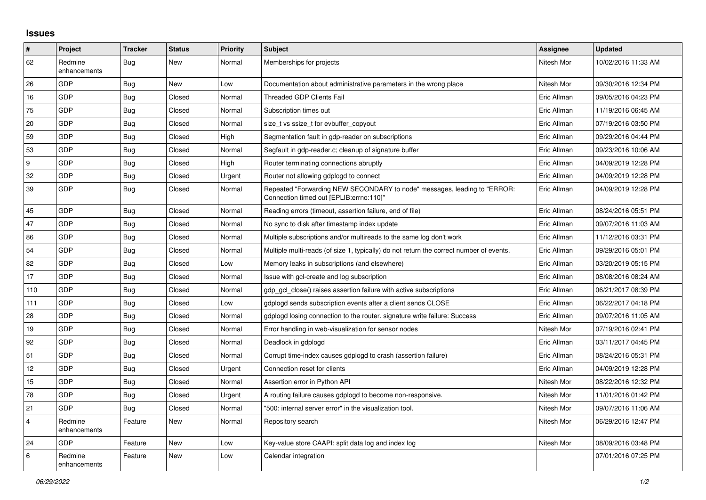## **Issues**

| #              | Project                 | <b>Tracker</b> | <b>Status</b> | Priority | <b>Subject</b>                                                                                                      | <b>Assignee</b> | <b>Updated</b>      |
|----------------|-------------------------|----------------|---------------|----------|---------------------------------------------------------------------------------------------------------------------|-----------------|---------------------|
| 62             | Redmine<br>enhancements | <b>Bug</b>     | New           | Normal   | Memberships for projects                                                                                            | Nitesh Mor      | 10/02/2016 11:33 AM |
| 26             | GDP                     | <b>Bug</b>     | <b>New</b>    | Low      | Documentation about administrative parameters in the wrong place                                                    | Nitesh Mor      | 09/30/2016 12:34 PM |
| 16             | GDP                     | <b>Bug</b>     | Closed        | Normal   | <b>Threaded GDP Clients Fail</b>                                                                                    | Eric Allman     | 09/05/2016 04:23 PM |
| 75             | GDP                     | <b>Bug</b>     | Closed        | Normal   | Subscription times out                                                                                              | Eric Allman     | 11/19/2016 06:45 AM |
| 20             | GDP                     | Bug            | Closed        | Normal   | size t vs ssize t for evbuffer copyout                                                                              | Eric Allman     | 07/19/2016 03:50 PM |
| 59             | GDP                     | <b>Bug</b>     | Closed        | High     | Segmentation fault in gdp-reader on subscriptions                                                                   | Eric Allman     | 09/29/2016 04:44 PM |
| 53             | GDP                     | <b>Bug</b>     | Closed        | Normal   | Segfault in gdp-reader.c; cleanup of signature buffer                                                               | Eric Allman     | 09/23/2016 10:06 AM |
| 9              | GDP                     | <b>Bug</b>     | Closed        | High     | Router terminating connections abruptly                                                                             | Eric Allman     | 04/09/2019 12:28 PM |
| 32             | GDP                     | <b>Bug</b>     | Closed        | Urgent   | Router not allowing gdplogd to connect                                                                              | Eric Allman     | 04/09/2019 12:28 PM |
| 39             | GDP                     | Bug            | Closed        | Normal   | Repeated "Forwarding NEW SECONDARY to node" messages, leading to "ERROR:<br>Connection timed out [EPLIB:errno:110]" | Eric Allman     | 04/09/2019 12:28 PM |
| 45             | GDP                     | <b>Bug</b>     | Closed        | Normal   | Reading errors (timeout, assertion failure, end of file)                                                            | Eric Allman     | 08/24/2016 05:51 PM |
| 47             | GDP                     | <b>Bug</b>     | Closed        | Normal   | No sync to disk after timestamp index update                                                                        | Eric Allman     | 09/07/2016 11:03 AM |
| 86             | GDP                     | <b>Bug</b>     | Closed        | Normal   | Multiple subscriptions and/or multireads to the same log don't work                                                 | Eric Allman     | 11/12/2016 03:31 PM |
| 54             | GDP                     | Bug            | Closed        | Normal   | Multiple multi-reads (of size 1, typically) do not return the correct number of events.                             | Eric Allman     | 09/29/2016 05:01 PM |
| 82             | GDP                     | <b>Bug</b>     | Closed        | Low      | Memory leaks in subscriptions (and elsewhere)                                                                       | Eric Allman     | 03/20/2019 05:15 PM |
| 17             | GDP                     | <b>Bug</b>     | Closed        | Normal   | Issue with gcl-create and log subscription                                                                          | Eric Allman     | 08/08/2016 08:24 AM |
| 110            | <b>GDP</b>              | <b>Bug</b>     | Closed        | Normal   | gdp gcl close() raises assertion failure with active subscriptions                                                  | Eric Allman     | 06/21/2017 08:39 PM |
| 111            | GDP                     | Bug            | Closed        | Low      | gdplogd sends subscription events after a client sends CLOSE                                                        | Eric Allman     | 06/22/2017 04:18 PM |
| 28             | GDP                     | Bug            | Closed        | Normal   | gdplogd losing connection to the router, signature write failure: Success                                           | Eric Allman     | 09/07/2016 11:05 AM |
| 19             | GDP                     | <b>Bug</b>     | Closed        | Normal   | Error handling in web-visualization for sensor nodes                                                                | Nitesh Mor      | 07/19/2016 02:41 PM |
| 92             | <b>GDP</b>              | <b>Bug</b>     | Closed        | Normal   | Deadlock in gdplogd                                                                                                 | Eric Allman     | 03/11/2017 04:45 PM |
| 51             | GDP                     | Bug            | Closed        | Normal   | Corrupt time-index causes gdplogd to crash (assertion failure)                                                      | Eric Allman     | 08/24/2016 05:31 PM |
| 12             | <b>GDP</b>              | <b>Bug</b>     | Closed        | Urgent   | Connection reset for clients                                                                                        | Eric Allman     | 04/09/2019 12:28 PM |
| 15             | GDP                     | <b>Bug</b>     | Closed        | Normal   | Assertion error in Python API                                                                                       | Nitesh Mor      | 08/22/2016 12:32 PM |
| 78             | GDP                     | <b>Bug</b>     | Closed        | Urgent   | A routing failure causes gdplogd to become non-responsive.                                                          | Nitesh Mor      | 11/01/2016 01:42 PM |
| 21             | GDP                     | <b>Bug</b>     | Closed        | Normal   | '500: internal server error" in the visualization tool.                                                             | Nitesh Mor      | 09/07/2016 11:06 AM |
| $\overline{4}$ | Redmine<br>enhancements | Feature        | New           | Normal   | Repository search                                                                                                   | Nitesh Mor      | 06/29/2016 12:47 PM |
| 24             | <b>GDP</b>              | Feature        | New           | Low      | Key-value store CAAPI: split data log and index log                                                                 | Nitesh Mor      | 08/09/2016 03:48 PM |
| 6              | Redmine<br>enhancements | Feature        | <b>New</b>    | Low      | Calendar integration                                                                                                |                 | 07/01/2016 07:25 PM |